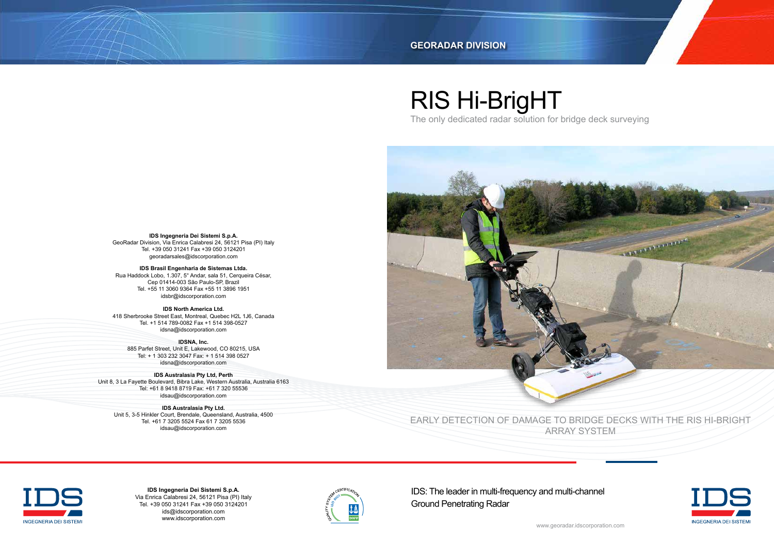# RIS Hi-BrigHT

The only dedicated radar solution for bridge deck surveying



EARLY DETECTION OF DAMAGE TO BRIDGE DECKS WITH THE RIS HI-BRIGHT ARRAY SYSTEM



IDS: The leader in multi-frequency and multi-channel Ground Penetrating Radar







#### **GEORADAR DIVISION**

**IDSNA, Inc.** 885 Parfet Street, Unit E, Lakewood, CO 80215, USA Tel: + 1 303 232 3047 Fax: + 1 514 398 0527 idsna@idscorporation.com

**IDS Brasil Engenharia de Sistemas Ltda.** Rua Haddock Lobo, 1.307, 5° Andar, sala 51, Cerqueira César, Cep 01414-003 São Paulo-SP, Brazil Tel. +55 11 3060 9364 Fax +55 11 3896 1951 idsbr@idscorporation.com

**IDS Australasia Pty Ltd.** Unit 5, 3-5 Hinkler Court, Brendale, Queensland, Australia, 4500 Tel. +61 7 3205 5524 Fax 61 7 3205 5536 idsau@idscorporation.com

> **IDS Ingegneria Dei Sistemi S.p.A.** Via Enrica Calabresi 24, 56121 Pisa (PI) Italy Tel. +39 050 31241 Fax +39 050 3124201 ids@idscorporation.com www.idscorporation.com



**IDS Ingegneria Dei Sistemi S.p.A.** GeoRadar Division, Via Enrica Calabresi 24, 56121 Pisa (PI) Italy Tel. +39 050 31241 Fax +39 050 3124201 georadarsales@idscorporation.com

**IDS North America Ltd.** 418 Sherbrooke Street East, Montreal, Quebec H2L 1J6, Canada Tel. +1 514 789-0082 Fax +1 514 398-0527 idsna@idscorporation.com

**IDS Australasia Pty Ltd, Perth** Unit 8, 3 La Fayette Boulevard, Bibra Lake, Western Australia, Australia 6163 Tel: +61 8 9418 8719 Fax: +61 7 320 55536 idsau@idscorporation.com